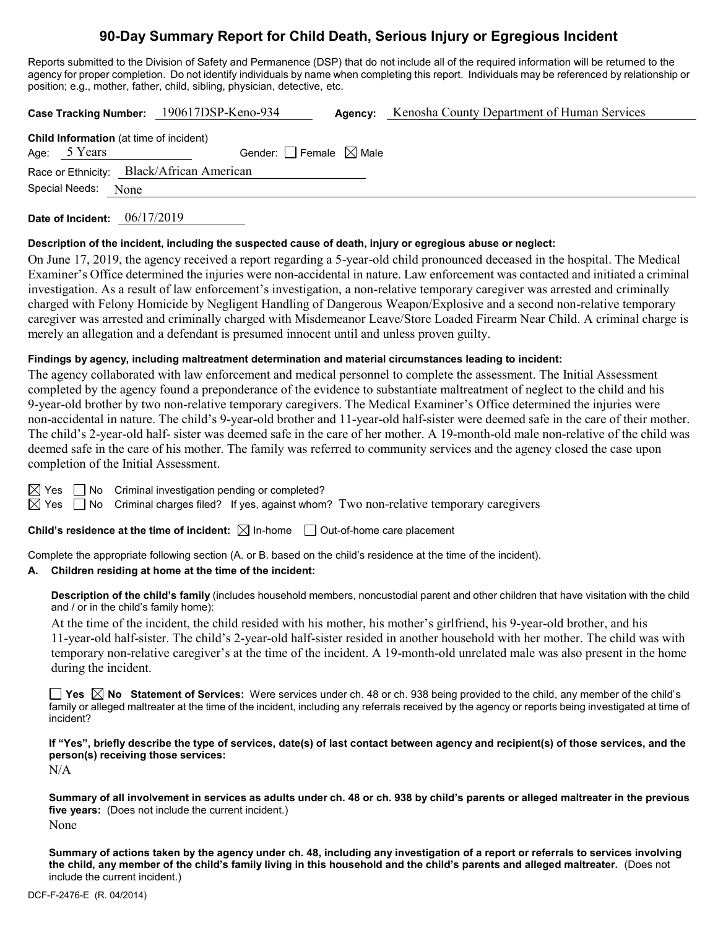# **90-Day Summary Report for Child Death, Serious Injury or Egregious Incident**

Reports submitted to the Division of Safety and Permanence (DSP) that do not include all of the required information will be returned to the agency for proper completion. Do not identify individuals by name when completing this report. Individuals may be referenced by relationship or position; e.g., mother, father, child, sibling, physician, detective, etc.

**Case Tracking Number:** 190617DSP-Keno-934 **Agency:** Kenosha County Department of Human Services

| <b>Child Information</b> (at time of incident) |              |                                 |  |  |  |  |  |
|------------------------------------------------|--------------|---------------------------------|--|--|--|--|--|
|                                                | Age: 5 Years | Gender: Female $\boxtimes$ Male |  |  |  |  |  |
| Race or Ethnicity: Black/African American      |              |                                 |  |  |  |  |  |
| Special Needs: None                            |              |                                 |  |  |  |  |  |

**Date of Incident:** 06/17/2019

#### **Description of the incident, including the suspected cause of death, injury or egregious abuse or neglect:**

On June 17, 2019, the agency received a report regarding a 5-year-old child pronounced deceased in the hospital. The Medical Examiner's Office determined the injuries were non-accidental in nature. Law enforcement was contacted and initiated a criminal investigation. As a result of law enforcement's investigation, a non-relative temporary caregiver was arrested and criminally charged with Felony Homicide by Negligent Handling of Dangerous Weapon/Explosive and a second non-relative temporary caregiver was arrested and criminally charged with Misdemeanor Leave/Store Loaded Firearm Near Child. A criminal charge is merely an allegation and a defendant is presumed innocent until and unless proven guilty.

#### **Findings by agency, including maltreatment determination and material circumstances leading to incident:**

The agency collaborated with law enforcement and medical personnel to complete the assessment. The Initial Assessment completed by the agency found a preponderance of the evidence to substantiate maltreatment of neglect to the child and his 9-year-old brother by two non-relative temporary caregivers. The Medical Examiner's Office determined the injuries were non-accidental in nature. The child's 9-year-old brother and 11-year-old half-sister were deemed safe in the care of their mother. The child's 2-year-old half- sister was deemed safe in the care of her mother. A 19-month-old male non-relative of the child was deemed safe in the care of his mother. The family was referred to community services and the agency closed the case upon completion of the Initial Assessment.

 $\boxtimes$  Yes  $\Box$  No Criminal investigation pending or completed?

 $\boxtimes$  Yes  $\Box$  No Criminal charges filed? If yes, against whom? Two non-relative temporary caregivers

**Child's residence at the time of incident:**  $\boxtimes$  In-home  $\Box$  Out-of-home care placement

Complete the appropriate following section (A. or B. based on the child's residence at the time of the incident).

#### **A. Children residing at home at the time of the incident:**

**Description of the child's family** (includes household members, noncustodial parent and other children that have visitation with the child and / or in the child's family home):

At the time of the incident, the child resided with his mother, his mother's girlfriend, his 9-year-old brother, and his 11-year-old half-sister. The child's 2-year-old half-sister resided in another household with her mother. The child was with temporary non-relative caregiver's at the time of the incident. A 19-month-old unrelated male was also present in the home during the incident.

**Yes No Statement of Services:** Were services under ch. 48 or ch. 938 being provided to the child, any member of the child's family or alleged maltreater at the time of the incident, including any referrals received by the agency or reports being investigated at time of incident?

**If "Yes", briefly describe the type of services, date(s) of last contact between agency and recipient(s) of those services, and the person(s) receiving those services:**

N/A

**Summary of all involvement in services as adults under ch. 48 or ch. 938 by child's parents or alleged maltreater in the previous five years:** (Does not include the current incident.) None

**Summary of actions taken by the agency under ch. 48, including any investigation of a report or referrals to services involving the child, any member of the child's family living in this household and the child's parents and alleged maltreater.** (Does not include the current incident.)